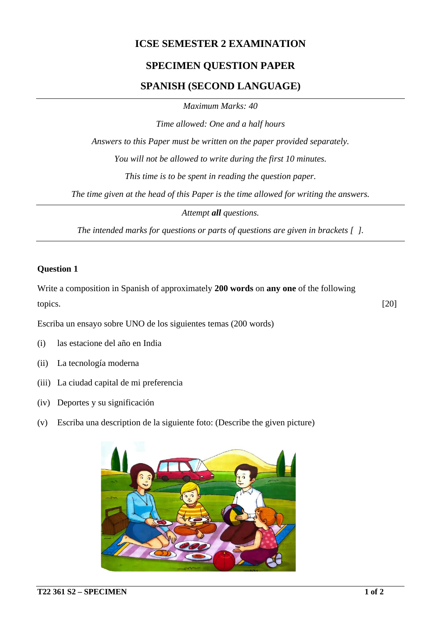## **ICSE SEMESTER 2 EXAMINATION**

# **SPECIMEN QUESTION PAPER**

## **SPANISH (SECOND LANGUAGE)**

*Maximum Marks: 40*

*Time allowed: One and a half hours*

*Answers to this Paper must be written on the paper provided separately.*

*You will not be allowed to write during the first 10 minutes.*

*This time is to be spent in reading the question paper.*

*The time given at the head of this Paper is the time allowed for writing the answers.*

*Attempt all questions.*

*The intended marks for questions or parts of questions are given in brackets [ ].*

#### **Question 1**

Write a composition in Spanish of approximately **200 words** on **any one** of the following topics. [20]

Escriba un ensayo sobre UNO de los siguientes temas (200 words)

- (i) las estacione del año en India
- (ii) La tecnología moderna
- (iii) La ciudad capital de mi preferencia
- (iv) Deportes y su significación
- (v) Escriba una description de la siguiente foto: (Describe the given picture)